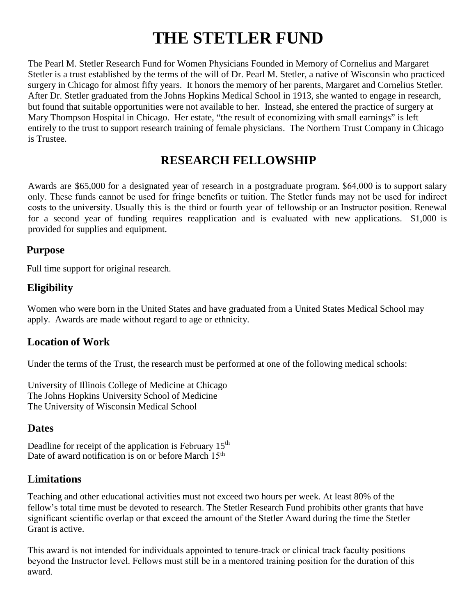# **THE STETLER FUND**

The Pearl M. Stetler Research Fund for Women Physicians Founded in Memory of Cornelius and Margaret Stetler is a trust established by the terms of the will of Dr. Pearl M. Stetler, a native of Wisconsin who practiced surgery in Chicago for almost fifty years. It honors the memory of her parents, Margaret and Cornelius Stetler. After Dr. Stetler graduated from the Johns Hopkins Medical School in 1913, she wanted to engage in research, but found that suitable opportunities were not available to her. Instead, she entered the practice of surgery at Mary Thompson Hospital in Chicago. Her estate, "the result of economizing with small earnings" is left entirely to the trust to support research training of female physicians. The Northern Trust Company in Chicago is Trustee.

## **RESEARCH FELLOWSHIP**

Awards are \$65,000 for a designated year of research in a postgraduate program. \$64,000 is to support salary only. These funds cannot be used for fringe benefits or tuition. The Stetler funds may not be used for indirect costs to the university. Usually this is the third or fourth year of fellowship or an Instructor position. Renewal for a second year of funding requires reapplication and is evaluated with new applications. \$1,000 is provided for supplies and equipment.

#### **Purpose**

Full time support for original research.

## **Eligibility**

Women who were born in the United States and have graduated from a United States Medical School may apply. Awards are made without regard to age or ethnicity.

## **Location of Work**

Under the terms of the Trust, the research must be performed at one of the following medical schools:

University of Illinois College of Medicine at Chicago The Johns Hopkins University School of Medicine The University of Wisconsin Medical School

#### **Dates**

Deadline for receipt of the application is February  $15<sup>th</sup>$ Date of award notification is on or before March 15<sup>th</sup>

### **Limitations**

Teaching and other educational activities must not exceed two hours per week. At least 80% of the fellow's total time must be devoted to research. The Stetler Research Fund prohibits other grants that have significant scientific overlap or that exceed the amount of the Stetler Award during the time the Stetler Grant is active.

This award is not intended for individuals appointed to tenure-track or clinical track faculty positions beyond the Instructor level. Fellows must still be in a mentored training position for the duration of this award.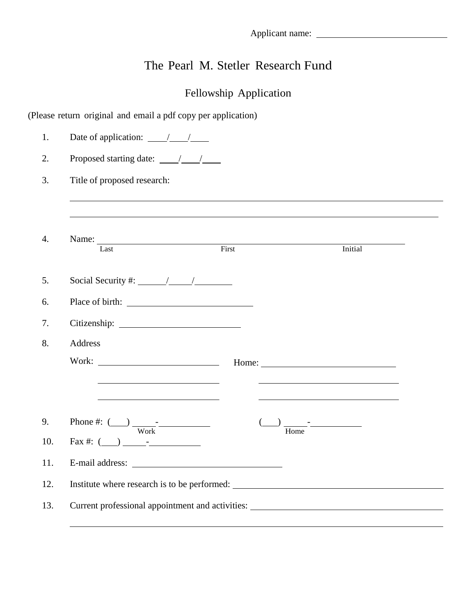# The Pearl M. Stetler Research Fund

# Fellowship Application

(Please return original and email a pdf copy per application)

| 1.               | Date of application: $\frac{\sqrt{1-\frac{1}{2}}}{\sqrt{1-\frac{1}{2}}}$                                                                                                                                                       |
|------------------|--------------------------------------------------------------------------------------------------------------------------------------------------------------------------------------------------------------------------------|
| 2.               |                                                                                                                                                                                                                                |
| 3.               | Title of proposed research:                                                                                                                                                                                                    |
|                  |                                                                                                                                                                                                                                |
|                  |                                                                                                                                                                                                                                |
| $\overline{4}$ . | First<br>Initial<br>Last                                                                                                                                                                                                       |
|                  |                                                                                                                                                                                                                                |
| 5.               | Social Security #: $\frac{1}{\sqrt{1-\frac{1}{2}}}\frac{1}{\sqrt{1-\frac{1}{2}}}}$                                                                                                                                             |
| 6.               |                                                                                                                                                                                                                                |
| 7.               |                                                                                                                                                                                                                                |
| 8.               | Address                                                                                                                                                                                                                        |
|                  |                                                                                                                                                                                                                                |
|                  | <u> 1989 - Johann Barbara, martin amerikan basar dan berasal dalam basar dalam basar dalam basar dalam basar dala</u>                                                                                                          |
|                  |                                                                                                                                                                                                                                |
| 9.               | Phone #: $\frac{1}{\frac{W_0}{k}}$                                                                                                                                                                                             |
| 10.              | $\text{Fax } \#: (\_\_\_\_\_\_\_--\_\_$                                                                                                                                                                                        |
| 11.              |                                                                                                                                                                                                                                |
| 12.              | Institute where research is to be performed:                                                                                                                                                                                   |
| 13.              | Current professional appointment and activities: Universe of the contract of the contract of the contract of the contract of the contract of the contract of the contract of the contract of the contract of the contract of t |
|                  |                                                                                                                                                                                                                                |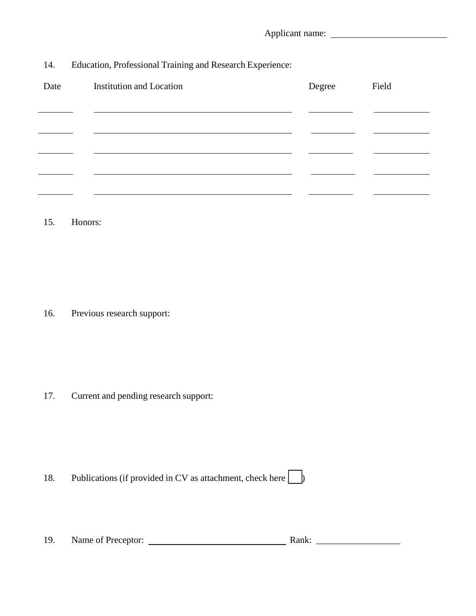14. Education, Professional Training and Research Experience:

| Date | <b>Institution and Location</b> | Degree | Field |
|------|---------------------------------|--------|-------|
|      |                                 |        |       |
|      |                                 |        |       |
|      |                                 |        |       |
|      |                                 |        |       |
|      |                                 |        |       |

15. Honors:

16. Previous research support:

17. Current and pending research support:

18. Publications (if provided in CV as attachment, check here  $\Box$ )

| 19. | Name of Preceptor: | ----<br>ханк |  |
|-----|--------------------|--------------|--|
|     |                    |              |  |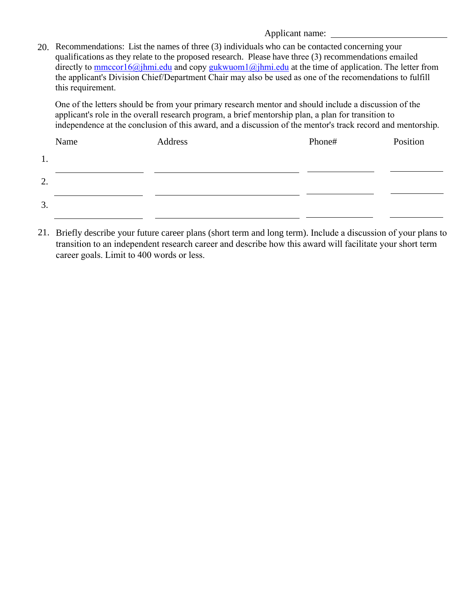20. Recommendations: List the names of three (3) individuals who can be contacted concerning your qualifications as they relate to the proposed research. Please have three (3) recommendations emailed directly to mmccor16@jhmi.edu and copy gukwuom1@jhmi.edu at the time of application. The letter from the applicant's Division Chief/Department Chair may also be used as one of the recomendations to fulfill this requirement.

One of the letters should be from your primary research mentor and should include a discussion of the applicant's role in the overall research program, a brief mentorship plan, a plan for transition to independence at the conclusion of this award, and a discussion of the mentor's track record and mentorship.

|    | Name | Address | Phone# | Position |
|----|------|---------|--------|----------|
| 1. |      |         |        |          |
| 2. |      |         |        |          |
| 3. |      |         |        |          |

21. Briefly describe your future career plans (short term and long term). Include a discussion of your plans to transition to an independent research career and describe how this award will facilitate your short term career goals. Limit to 400 words or less.